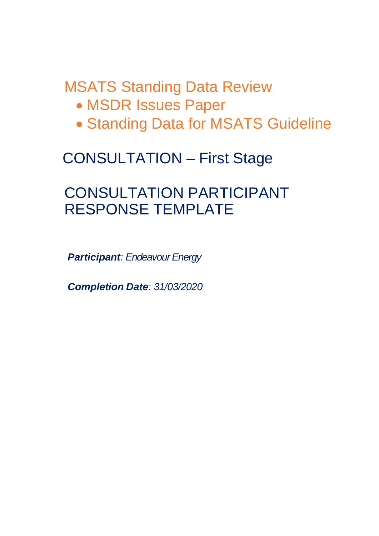# MSATS Standing Data Review

- · MSDR Issues Paper
- · Standing Data for MSATS Guideline

## CONSULTATION – First Stage

## CONSULTATION PARTICIPANT RESPONSE TEMPLATE

*Participant: Endeavour Energy*

*Completion Date: 31/03/2020*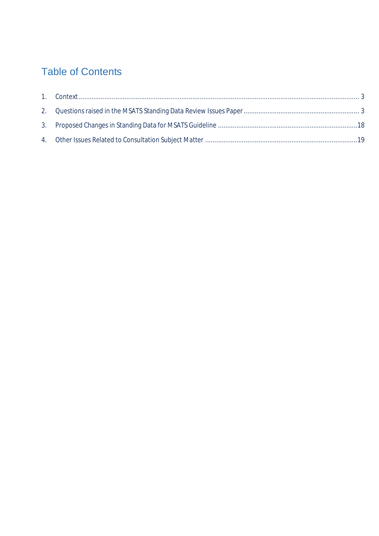## Table of Contents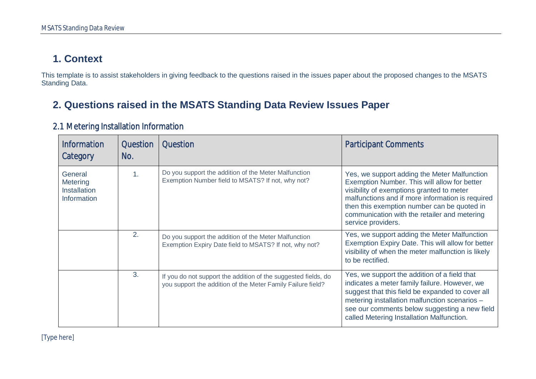### **1. Context**

This template is to assist stakeholders in giving feedback to the questions raised in the issues paper about the proposed changes to the MSATS Standing Data.

### **2. Questions raised in the MSATS Standing Data Review Issues Paper**

<span id="page-2-1"></span><span id="page-2-0"></span>

| <b>Information</b><br>Category                                   | <b>Question</b><br>No. | <b>Question</b>                                                                                                               | <b>Participant Comments</b>                                                                                                                                                                                                                                                                                        |
|------------------------------------------------------------------|------------------------|-------------------------------------------------------------------------------------------------------------------------------|--------------------------------------------------------------------------------------------------------------------------------------------------------------------------------------------------------------------------------------------------------------------------------------------------------------------|
| General<br>Metering<br><b>Installation</b><br><b>Information</b> | 1.                     | Do you support the addition of the Meter Malfunction<br>Exemption Number field to MSATS? If not, why not?                     | Yes, we support adding the Meter Malfunction<br>Exemption Number. This will allow for better<br>visibility of exemptions granted to meter<br>malfunctions and if more information is required<br>then this exemption number can be quoted in<br>communication with the retailer and metering<br>service providers. |
|                                                                  | 2.                     | Do you support the addition of the Meter Malfunction<br>Exemption Expiry Date field to MSATS? If not, why not?                | Yes, we support adding the Meter Malfunction<br>Exemption Expiry Date. This will allow for better<br>visibility of when the meter malfunction is likely<br>to be rectified.                                                                                                                                        |
|                                                                  | 3.                     | If you do not support the addition of the suggested fields, do<br>you support the addition of the Meter Family Failure field? | Yes, we support the addition of a field that<br>indicates a meter family failure. However, we<br>suggest that this field be expanded to cover all<br>metering installation malfunction scenarios -<br>see our comments below suggesting a new field<br>called Metering Installation Malfunction.                   |

#### 2.1 Metering Installation Information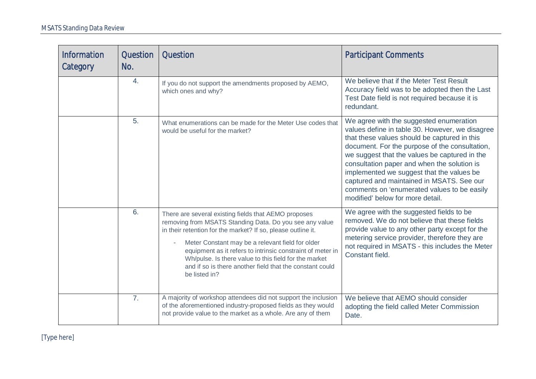| <b>Information</b><br>Category | Question<br>No.  | <b>Question</b>                                                                                                                                                                                                                                                                                                                                                                                                                         | <b>Participant Comments</b>                                                                                                                                                                                                                                                                                                                                                                                                                                               |
|--------------------------------|------------------|-----------------------------------------------------------------------------------------------------------------------------------------------------------------------------------------------------------------------------------------------------------------------------------------------------------------------------------------------------------------------------------------------------------------------------------------|---------------------------------------------------------------------------------------------------------------------------------------------------------------------------------------------------------------------------------------------------------------------------------------------------------------------------------------------------------------------------------------------------------------------------------------------------------------------------|
|                                | 4.               | If you do not support the amendments proposed by AEMO,<br>which ones and why?                                                                                                                                                                                                                                                                                                                                                           | We believe that if the Meter Test Result<br>Accuracy field was to be adopted then the Last<br>Test Date field is not required because it is<br>redundant.                                                                                                                                                                                                                                                                                                                 |
|                                | 5.               | What enumerations can be made for the Meter Use codes that<br>would be useful for the market?                                                                                                                                                                                                                                                                                                                                           | We agree with the suggested enumeration<br>values define in table 30. However, we disagree<br>that these values should be captured in this<br>document. For the purpose of the consultation,<br>we suggest that the values be captured in the<br>consultation paper and when the solution is<br>implemented we suggest that the values be<br>captured and maintained in MSATS. See our<br>comments on 'enumerated values to be easily<br>modified' below for more detail. |
|                                | 6.               | There are several existing fields that AEMO proposes<br>removing from MSATS Standing Data. Do you see any value<br>in their retention for the market? If so, please outline it.<br>Meter Constant may be a relevant field for older<br>equipment as it refers to intrinsic constraint of meter in<br>Wh/pulse. Is there value to this field for the market<br>and if so is there another field that the constant could<br>be listed in? | We agree with the suggested fields to be<br>removed. We do not believe that these fields<br>provide value to any other party except for the<br>metering service provider, therefore they are<br>not required in MSATS - this includes the Meter<br>Constant field.                                                                                                                                                                                                        |
|                                | $\overline{7}$ . | A majority of workshop attendees did not support the inclusion<br>of the aforementioned industry-proposed fields as they would<br>not provide value to the market as a whole. Are any of them                                                                                                                                                                                                                                           | We believe that AEMO should consider<br>adopting the field called Meter Commission<br>Date.                                                                                                                                                                                                                                                                                                                                                                               |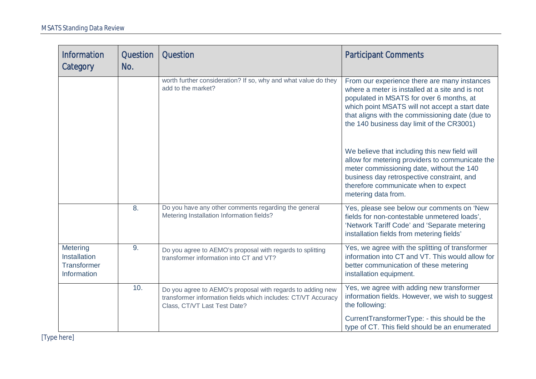| <b>Information</b><br>Category                                       | Question<br>No. | <b>Question</b>                                                                                                                                             | <b>Participant Comments</b>                                                                                                                                                                                                                                                                   |
|----------------------------------------------------------------------|-----------------|-------------------------------------------------------------------------------------------------------------------------------------------------------------|-----------------------------------------------------------------------------------------------------------------------------------------------------------------------------------------------------------------------------------------------------------------------------------------------|
|                                                                      |                 | worth further consideration? If so, why and what value do they<br>add to the market?                                                                        | From our experience there are many instances<br>where a meter is installed at a site and is not<br>populated in MSATS for over 6 months, at<br>which point MSATS will not accept a start date<br>that aligns with the commissioning date (due to<br>the 140 business day limit of the CR3001) |
|                                                                      |                 |                                                                                                                                                             | We believe that including this new field will<br>allow for metering providers to communicate the<br>meter commissioning date, without the 140<br>business day retrospective constraint, and<br>therefore communicate when to expect<br>metering data from.                                    |
|                                                                      | 8.              | Do you have any other comments regarding the general<br>Metering Installation Information fields?                                                           | Yes, please see below our comments on 'New<br>fields for non-contestable unmetered loads',<br>'Network Tariff Code' and 'Separate metering<br>installation fields from metering fields'                                                                                                       |
| Metering<br><b>Installation</b><br><b>Transformer</b><br>Information | 9.              | Do you agree to AEMO's proposal with regards to splitting<br>transformer information into CT and VT?                                                        | Yes, we agree with the splitting of transformer<br>information into CT and VT. This would allow for<br>better communication of these metering<br>installation equipment.                                                                                                                      |
|                                                                      | 10.             | Do you agree to AEMO's proposal with regards to adding new<br>transformer information fields which includes: CT/VT Accuracy<br>Class, CT/VT Last Test Date? | Yes, we agree with adding new transformer<br>information fields. However, we wish to suggest<br>the following:<br>CurrentTransformerType: - this should be the<br>type of CT. This field should be an enumerated                                                                              |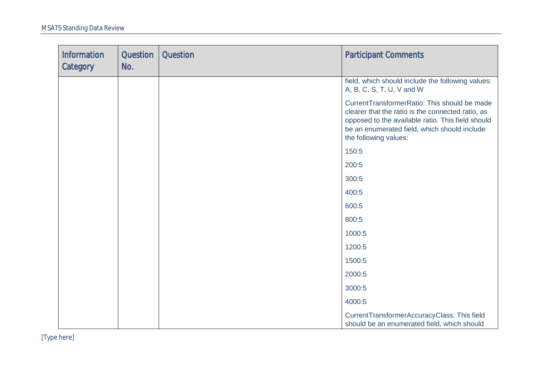| <b>Information</b><br>Category | Question<br>No. | <b>Question</b> | <b>Participant Comments</b>                                                                                                                                                                                                     |
|--------------------------------|-----------------|-----------------|---------------------------------------------------------------------------------------------------------------------------------------------------------------------------------------------------------------------------------|
|                                |                 |                 | field, which should include the following values:<br>A, B, C, S, T, U, V and W                                                                                                                                                  |
|                                |                 |                 | CurrentTransformerRatio: This should be made<br>clearer that the ratio is the connected ratio, as<br>opposed to the available ratio. This field should<br>be an enumerated field, which should include<br>the following values: |
|                                |                 |                 | 150:5                                                                                                                                                                                                                           |
|                                |                 |                 | 200:5                                                                                                                                                                                                                           |
|                                |                 |                 | 300:5                                                                                                                                                                                                                           |
|                                |                 |                 | 400:5                                                                                                                                                                                                                           |
|                                |                 |                 | 600:5                                                                                                                                                                                                                           |
|                                |                 |                 | 800:5                                                                                                                                                                                                                           |
|                                |                 |                 | 1000:5                                                                                                                                                                                                                          |
|                                |                 |                 | 1200:5                                                                                                                                                                                                                          |
|                                |                 |                 | 1500:5                                                                                                                                                                                                                          |
|                                |                 |                 | 2000:5                                                                                                                                                                                                                          |
|                                |                 |                 | 3000:5                                                                                                                                                                                                                          |
|                                |                 |                 | 4000:5                                                                                                                                                                                                                          |
|                                |                 |                 | CurrentTransformerAccuracyClass: This field<br>should be an enumerated field, which should                                                                                                                                      |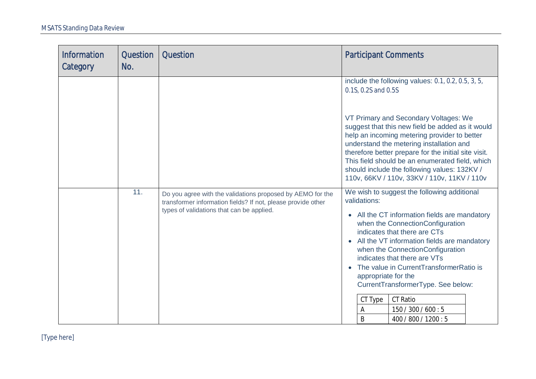| <b>Information</b><br>Category | Question<br>No. | <b>Question</b>                                                                                                                                                         | <b>Participant Comments</b>                                                                                                                                                                                                                                                                                                                                                                                                                                                                      |
|--------------------------------|-----------------|-------------------------------------------------------------------------------------------------------------------------------------------------------------------------|--------------------------------------------------------------------------------------------------------------------------------------------------------------------------------------------------------------------------------------------------------------------------------------------------------------------------------------------------------------------------------------------------------------------------------------------------------------------------------------------------|
|                                |                 |                                                                                                                                                                         | include the following values: 0.1, 0.2, 0.5, 3, 5,<br>0.1S, 0.2S and 0.5S                                                                                                                                                                                                                                                                                                                                                                                                                        |
|                                |                 |                                                                                                                                                                         | VT Primary and Secondary Voltages: We<br>suggest that this new field be added as it would<br>help an incoming metering provider to better<br>understand the metering installation and<br>therefore better prepare for the initial site visit.<br>This field should be an enumerated field, which<br>should include the following values: 132KV /<br>110v, 66KV / 110v, 33KV / 110v, 11KV / 110v                                                                                                  |
|                                | 11.             | Do you agree with the validations proposed by AEMO for the<br>transformer information fields? If not, please provide other<br>types of validations that can be applied. | We wish to suggest the following additional<br>validations:<br>All the CT information fields are mandatory<br>when the ConnectionConfiguration<br>indicates that there are CTs<br>All the VT information fields are mandatory<br>when the ConnectionConfiguration<br>indicates that there are VTs<br>The value in CurrentTransformerRatio is<br>appropriate for the<br>CurrentTransformerType. See below:<br><b>CT Ratio</b><br>CT Type<br>150 / 300 / 600 : 5<br>A<br>B<br>400 / 800 / 1200 : 5 |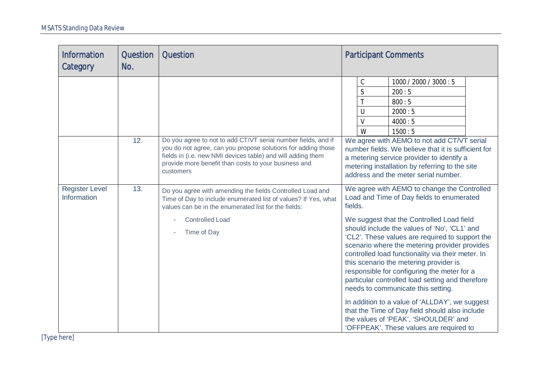| <b>Information</b><br>Category       | Question<br>No. | <b>Question</b>                                                                                                                                                                                                                                                 | <b>Participant Comments</b>                                                                                                                                                                                                                                                                                                                                                                                                                      |
|--------------------------------------|-----------------|-----------------------------------------------------------------------------------------------------------------------------------------------------------------------------------------------------------------------------------------------------------------|--------------------------------------------------------------------------------------------------------------------------------------------------------------------------------------------------------------------------------------------------------------------------------------------------------------------------------------------------------------------------------------------------------------------------------------------------|
|                                      | 12.             | Do you agree to not to add CT/VT serial number fields, and if<br>you do not agree, can you propose solutions for adding those                                                                                                                                   | $\mathsf C$<br>1000 / 2000 / 3000:5<br>$\mathsf{S}$<br>200:5<br>T<br>800:5<br>U<br>2000:5<br>$\vee$<br>4000:5<br>W<br>1500:5<br>We agree with AEMO to not add CT/VT serial<br>number fields. We believe that it is sufficient for                                                                                                                                                                                                                |
| <b>Register Level</b><br>Information | 13.             | fields in (i.e. new NMI devices table) and will adding them<br>provide more benefit than costs to your business and<br>customers<br>Do you agree with amending the fields Controlled Load and<br>Time of Day to include enumerated list of values? If Yes, what | a metering service provider to identify a<br>metering installation by referring to the site<br>address and the meter serial number.<br>We agree with AEMO to change the Controlled<br>Load and Time of Day fields to enumerated                                                                                                                                                                                                                  |
|                                      |                 | values can be in the enumerated list for the fields:<br><b>Controlled Load</b><br>Time of Day                                                                                                                                                                   | fields.<br>We suggest that the Controlled Load field<br>should include the values of 'No', 'CL1' and<br>'CL2'. These values are required to support the<br>scenario where the metering provider provides<br>controlled load functionality via their meter. In<br>this scenario the metering provider is<br>responsible for configuring the meter for a<br>particular controlled load setting and therefore<br>needs to communicate this setting. |
|                                      |                 |                                                                                                                                                                                                                                                                 | In addition to a value of 'ALLDAY', we suggest<br>that the Time of Day field should also include<br>the values of 'PEAK', 'SHOULDER' and<br>'OFFPEAK'. These values are required to                                                                                                                                                                                                                                                              |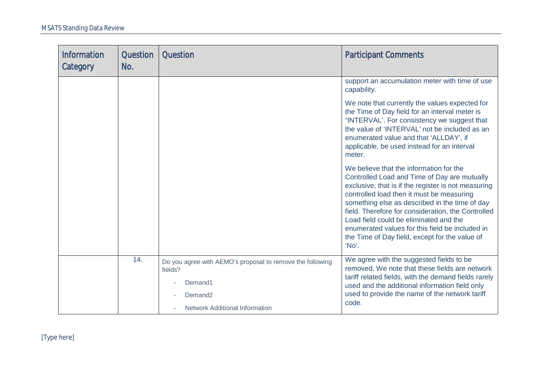| <b>Information</b><br>Category | Question<br>No. | Question                                                                                                                                        | <b>Participant Comments</b>                                                                                                                                                                                                                                                                                                                                                                                                                                 |
|--------------------------------|-----------------|-------------------------------------------------------------------------------------------------------------------------------------------------|-------------------------------------------------------------------------------------------------------------------------------------------------------------------------------------------------------------------------------------------------------------------------------------------------------------------------------------------------------------------------------------------------------------------------------------------------------------|
|                                |                 |                                                                                                                                                 | support an accumulation meter with time of use<br>capability.                                                                                                                                                                                                                                                                                                                                                                                               |
|                                |                 |                                                                                                                                                 | We note that currently the values expected for<br>the Time of Day field for an interval meter is<br>"INTERVAL'. For consistency we suggest that<br>the value of 'INTERVAL' not be included as an<br>enumerated value and that 'ALLDAY', if<br>applicable, be used instead for an interval<br>meter.                                                                                                                                                         |
|                                |                 |                                                                                                                                                 | We believe that the information for the<br>Controlled Load and Time of Day are mutually<br>exclusive, that is if the register is not measuring<br>controlled load then it must be measuring<br>something else as described in the time of day<br>field. Therefore for consideration, the Controlled<br>Load field could be eliminated and the<br>enumerated values for this field be included in<br>the Time of Day field, except for the value of<br>'No'. |
|                                | 14.             | Do you agree with AEMO's proposal to remove the following<br>fields?<br>Demand1<br>Demand <sub>2</sub><br><b>Network Additional Information</b> | We agree with the suggested fields to be<br>removed. We note that these fields are network<br>tariff related fields, with the demand fields rarely<br>used and the additional information field only<br>used to provide the name of the network tariff<br>code.                                                                                                                                                                                             |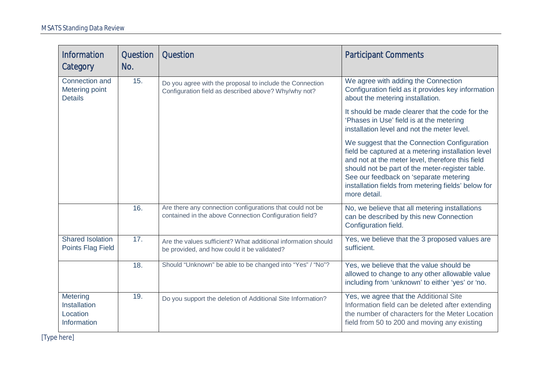| <b>Information</b><br>Category                             | <b>Question</b><br>No. | <b>Question</b>                                                                                                     | <b>Participant Comments</b>                                                                                                                                                                                                                                                                                                |
|------------------------------------------------------------|------------------------|---------------------------------------------------------------------------------------------------------------------|----------------------------------------------------------------------------------------------------------------------------------------------------------------------------------------------------------------------------------------------------------------------------------------------------------------------------|
| Connection and<br>Metering point<br><b>Details</b>         | 15.                    | Do you agree with the proposal to include the Connection<br>Configuration field as described above? Why/why not?    | We agree with adding the Connection<br>Configuration field as it provides key information<br>about the metering installation.                                                                                                                                                                                              |
|                                                            |                        |                                                                                                                     | It should be made clearer that the code for the<br>'Phases in Use' field is at the metering<br>installation level and not the meter level.                                                                                                                                                                                 |
|                                                            |                        |                                                                                                                     | We suggest that the Connection Configuration<br>field be captured at a metering installation level<br>and not at the meter level, therefore this field<br>should not be part of the meter-register table.<br>See our feedback on 'separate metering<br>installation fields from metering fields' below for<br>more detail. |
|                                                            | 16.                    | Are there any connection configurations that could not be<br>contained in the above Connection Configuration field? | No, we believe that all metering installations<br>can be described by this new Connection<br>Configuration field.                                                                                                                                                                                                          |
| <b>Shared Isolation</b><br><b>Points Flag Field</b>        | 17.                    | Are the values sufficient? What additional information should<br>be provided, and how could it be validated?        | Yes, we believe that the 3 proposed values are<br>sufficient.                                                                                                                                                                                                                                                              |
|                                                            | 18.                    | Should "Unknown" be able to be changed into "Yes" / "No"?                                                           | Yes, we believe that the value should be<br>allowed to change to any other allowable value<br>including from 'unknown' to either 'yes' or 'no.                                                                                                                                                                             |
| Metering<br><b>Installation</b><br>Location<br>Information | 19.                    | Do you support the deletion of Additional Site Information?                                                         | Yes, we agree that the Additional Site<br>Information field can be deleted after extending<br>the number of characters for the Meter Location<br>field from 50 to 200 and moving any existing                                                                                                                              |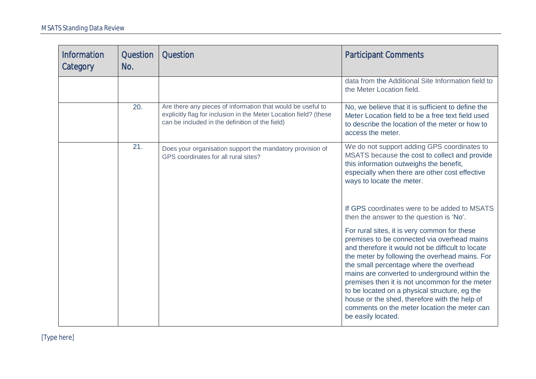| <b>Information</b><br>Category | Question<br>No. | <b>Question</b>                                                                                                                                                                     | <b>Participant Comments</b>                                                                                                                                                                                                                                                                                                                                                                                                                                                                                              |
|--------------------------------|-----------------|-------------------------------------------------------------------------------------------------------------------------------------------------------------------------------------|--------------------------------------------------------------------------------------------------------------------------------------------------------------------------------------------------------------------------------------------------------------------------------------------------------------------------------------------------------------------------------------------------------------------------------------------------------------------------------------------------------------------------|
|                                |                 |                                                                                                                                                                                     | data from the Additional Site Information field to<br>the Meter Location field.                                                                                                                                                                                                                                                                                                                                                                                                                                          |
|                                | 20.             | Are there any pieces of information that would be useful to<br>explicitly flag for inclusion in the Meter Location field? (these<br>can be included in the definition of the field) | No, we believe that it is sufficient to define the<br>Meter Location field to be a free text field used<br>to describe the location of the meter or how to<br>access the meter.                                                                                                                                                                                                                                                                                                                                          |
|                                | 21.             | Does your organisation support the mandatory provision of<br>GPS coordinates for all rural sites?                                                                                   | We do not support adding GPS coordinates to<br>MSATS because the cost to collect and provide<br>this information outweighs the benefit,<br>especially when there are other cost effective<br>ways to locate the meter.                                                                                                                                                                                                                                                                                                   |
|                                |                 |                                                                                                                                                                                     | If GPS coordinates were to be added to MSATS<br>then the answer to the question is 'No'.                                                                                                                                                                                                                                                                                                                                                                                                                                 |
|                                |                 |                                                                                                                                                                                     | For rural sites, it is very common for these<br>premises to be connected via overhead mains<br>and therefore it would not be difficult to locate<br>the meter by following the overhead mains. For<br>the small percentage where the overhead<br>mains are converted to underground within the<br>premises then it is not uncommon for the meter<br>to be located on a physical structure, eg the<br>house or the shed, therefore with the help of<br>comments on the meter location the meter can<br>be easily located. |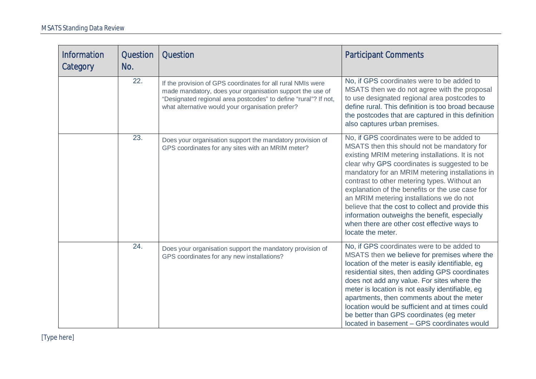| <b>Information</b><br>Category | <b>Question</b><br>No. | <b>Question</b>                                                                                                                                                                                                                                 | <b>Participant Comments</b>                                                                                                                                                                                                                                                                                                                                                                                                                                                                                                                                              |
|--------------------------------|------------------------|-------------------------------------------------------------------------------------------------------------------------------------------------------------------------------------------------------------------------------------------------|--------------------------------------------------------------------------------------------------------------------------------------------------------------------------------------------------------------------------------------------------------------------------------------------------------------------------------------------------------------------------------------------------------------------------------------------------------------------------------------------------------------------------------------------------------------------------|
|                                | 22.                    | If the provision of GPS coordinates for all rural NMIs were<br>made mandatory, does your organisation support the use of<br>"Designated regional area postcodes" to define "rural"? If not,<br>what alternative would your organisation prefer? | No, if GPS coordinates were to be added to<br>MSATS then we do not agree with the proposal<br>to use designated regional area postcodes to<br>define rural. This definition is too broad because<br>the postcodes that are captured in this definition<br>also captures urban premises.                                                                                                                                                                                                                                                                                  |
|                                | 23.                    | Does your organisation support the mandatory provision of<br>GPS coordinates for any sites with an MRIM meter?                                                                                                                                  | No, if GPS coordinates were to be added to<br>MSATS then this should not be mandatory for<br>existing MRIM metering installations. It is not<br>clear why GPS coordinates is suggested to be<br>mandatory for an MRIM metering installations in<br>contrast to other metering types. Without an<br>explanation of the benefits or the use case for<br>an MRIM metering installations we do not<br>believe that the cost to collect and provide this<br>information outweighs the benefit, especially<br>when there are other cost effective ways to<br>locate the meter. |
|                                | 24.                    | Does your organisation support the mandatory provision of<br>GPS coordinates for any new installations?                                                                                                                                         | No, if GPS coordinates were to be added to<br>MSATS then we believe for premises where the<br>location of the meter is easily identifiable, eg<br>residential sites, then adding GPS coordinates<br>does not add any value. For sites where the<br>meter is location is not easily identifiable, eg<br>apartments, then comments about the meter<br>location would be sufficient and at times could<br>be better than GPS coordinates (eg meter<br>located in basement - GPS coordinates would                                                                           |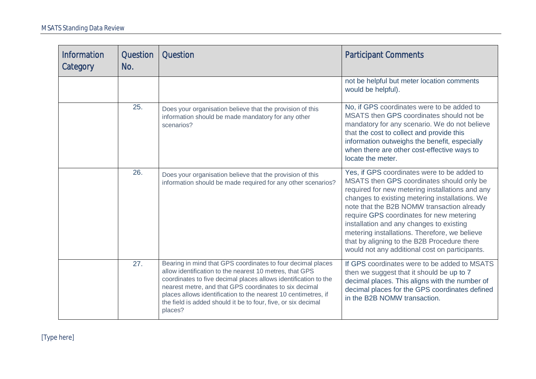| <b>Information</b><br>Category | Question<br>No. | <b>Question</b>                                                                                                                                                                                                                                                                                                                                                                                   | <b>Participant Comments</b>                                                                                                                                                                                                                                                                                                                                                                                                                                                           |
|--------------------------------|-----------------|---------------------------------------------------------------------------------------------------------------------------------------------------------------------------------------------------------------------------------------------------------------------------------------------------------------------------------------------------------------------------------------------------|---------------------------------------------------------------------------------------------------------------------------------------------------------------------------------------------------------------------------------------------------------------------------------------------------------------------------------------------------------------------------------------------------------------------------------------------------------------------------------------|
|                                |                 |                                                                                                                                                                                                                                                                                                                                                                                                   | not be helpful but meter location comments<br>would be helpful).                                                                                                                                                                                                                                                                                                                                                                                                                      |
|                                | 25.             | Does your organisation believe that the provision of this<br>information should be made mandatory for any other<br>scenarios?                                                                                                                                                                                                                                                                     | No, if GPS coordinates were to be added to<br>MSATS then GPS coordinates should not be<br>mandatory for any scenario. We do not believe<br>that the cost to collect and provide this<br>information outweighs the benefit, especially<br>when there are other cost-effective ways to<br>locate the meter.                                                                                                                                                                             |
|                                | 26.             | Does your organisation believe that the provision of this<br>information should be made required for any other scenarios?                                                                                                                                                                                                                                                                         | Yes, if GPS coordinates were to be added to<br>MSATS then GPS coordinates should only be<br>required for new metering installations and any<br>changes to existing metering installations. We<br>note that the B2B NOMW transaction already<br>require GPS coordinates for new metering<br>installation and any changes to existing<br>metering installations. Therefore, we believe<br>that by aligning to the B2B Procedure there<br>would not any additional cost on participants. |
|                                | 27.             | Bearing in mind that GPS coordinates to four decimal places<br>allow identification to the nearest 10 metres, that GPS<br>coordinates to five decimal places allows identification to the<br>nearest metre, and that GPS coordinates to six decimal<br>places allows identification to the nearest 10 centimetres, if<br>the field is added should it be to four, five, or six decimal<br>places? | If GPS coordinates were to be added to MSATS<br>then we suggest that it should be up to 7<br>decimal places. This aligns with the number of<br>decimal places for the GPS coordinates defined<br>in the B2B NOMW transaction.                                                                                                                                                                                                                                                         |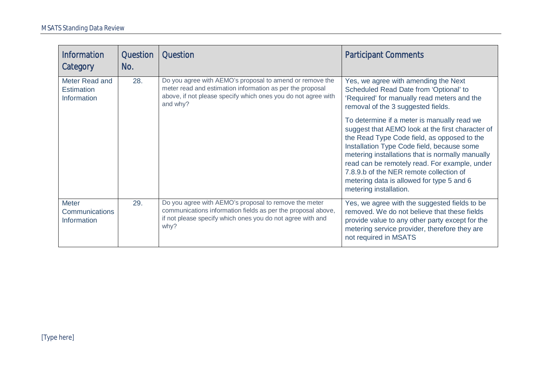| <b>Information</b><br>Category                              | <b>Question</b><br>No. | <b>Question</b>                                                                                                                                                                                    | <b>Participant Comments</b>                                                                                                                                                                                                                                                                                                                                                                                         |
|-------------------------------------------------------------|------------------------|----------------------------------------------------------------------------------------------------------------------------------------------------------------------------------------------------|---------------------------------------------------------------------------------------------------------------------------------------------------------------------------------------------------------------------------------------------------------------------------------------------------------------------------------------------------------------------------------------------------------------------|
| Meter Read and<br><b>Estimation</b><br><b>Information</b>   | 28.                    | Do you agree with AEMO's proposal to amend or remove the<br>meter read and estimation information as per the proposal<br>above, if not please specify which ones you do not agree with<br>and why? | Yes, we agree with amending the Next<br>Scheduled Read Date from 'Optional' to<br>'Required' for manually read meters and the<br>removal of the 3 suggested fields.                                                                                                                                                                                                                                                 |
|                                                             |                        |                                                                                                                                                                                                    | To determine if a meter is manually read we<br>suggest that AEMO look at the first character of<br>the Read Type Code field, as opposed to the<br>Installation Type Code field, because some<br>metering installations that is normally manually<br>read can be remotely read. For example, under<br>7.8.9.b of the NER remote collection of<br>metering data is allowed for type 5 and 6<br>metering installation. |
| <b>Meter</b><br><b>Communications</b><br><b>Information</b> | 29.                    | Do you agree with AEMO's proposal to remove the meter<br>communications information fields as per the proposal above,<br>if not please specify which ones you do not agree with and<br>why?        | Yes, we agree with the suggested fields to be<br>removed. We do not believe that these fields<br>provide value to any other party except for the<br>metering service provider, therefore they are<br>not required in MSATS                                                                                                                                                                                          |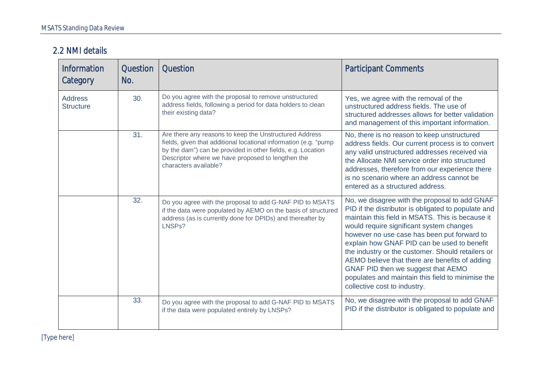#### 2.2 NMI details

| <b>Information</b><br>Category     | Question<br>No. | Question                                                                                                                                                                                                                                                                | <b>Participant Comments</b>                                                                                                                                                                                                                                                                                                                                                                                                                                                                                                          |
|------------------------------------|-----------------|-------------------------------------------------------------------------------------------------------------------------------------------------------------------------------------------------------------------------------------------------------------------------|--------------------------------------------------------------------------------------------------------------------------------------------------------------------------------------------------------------------------------------------------------------------------------------------------------------------------------------------------------------------------------------------------------------------------------------------------------------------------------------------------------------------------------------|
| <b>Address</b><br><b>Structure</b> | 30.             | Do you agree with the proposal to remove unstructured<br>address fields, following a period for data holders to clean<br>their existing data?                                                                                                                           | Yes, we agree with the removal of the<br>unstructured address fields. The use of<br>structured addresses allows for better validation<br>and management of this important information.                                                                                                                                                                                                                                                                                                                                               |
|                                    | 31.             | Are there any reasons to keep the Unstructured Address<br>fields, given that additional locational information (e.g. "pump<br>by the dam") can be provided in other fields, e.g. Location<br>Descriptor where we have proposed to lengthen the<br>characters available? | No, there is no reason to keep unstructured<br>address fields. Our current process is to convert<br>any valid unstructured addresses received via<br>the Allocate NMI service order into structured<br>addresses, therefore from our experience there<br>is no scenario where an address cannot be<br>entered as a structured address.                                                                                                                                                                                               |
|                                    | 32.             | Do you agree with the proposal to add G-NAF PID to MSATS<br>if the data were populated by AEMO on the basis of structured<br>address (as is currently done for DPIDs) and thereafter by<br>LNSPs?                                                                       | No, we disagree with the proposal to add GNAF<br>PID if the distributor is obligated to populate and<br>maintain this field in MSATS. This is because it<br>would require significant system changes<br>however no use case has been put forward to<br>explain how GNAF PID can be used to benefit<br>the industry or the customer. Should retailers or<br>AEMO believe that there are benefits of adding<br>GNAF PID then we suggest that AEMO<br>populates and maintain this field to minimise the<br>collective cost to industry. |
|                                    | 33.             | Do you agree with the proposal to add G-NAF PID to MSATS<br>if the data were populated entirely by LNSPs?                                                                                                                                                               | No, we disagree with the proposal to add GNAF<br>PID if the distributor is obligated to populate and                                                                                                                                                                                                                                                                                                                                                                                                                                 |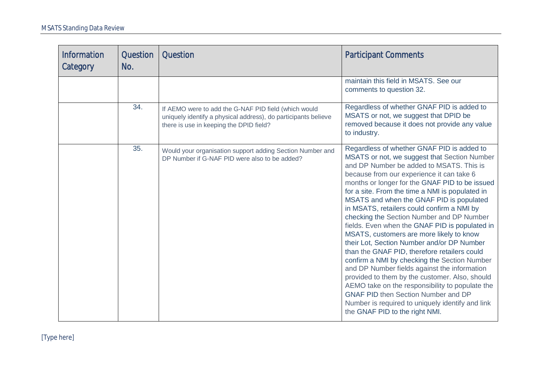| <b>Information</b><br>Category | Question<br>No. | <b>Question</b>                                                                                                                                                   | <b>Participant Comments</b>                                                                                                                                                                                                                                                                                                                                                                                                                                                                                                                                                                                                                                                                                                                                                                                                                                                                                                                                          |
|--------------------------------|-----------------|-------------------------------------------------------------------------------------------------------------------------------------------------------------------|----------------------------------------------------------------------------------------------------------------------------------------------------------------------------------------------------------------------------------------------------------------------------------------------------------------------------------------------------------------------------------------------------------------------------------------------------------------------------------------------------------------------------------------------------------------------------------------------------------------------------------------------------------------------------------------------------------------------------------------------------------------------------------------------------------------------------------------------------------------------------------------------------------------------------------------------------------------------|
|                                |                 |                                                                                                                                                                   | maintain this field in MSATS. See our<br>comments to question 32.                                                                                                                                                                                                                                                                                                                                                                                                                                                                                                                                                                                                                                                                                                                                                                                                                                                                                                    |
|                                | 34.             | If AEMO were to add the G-NAF PID field (which would<br>uniquely identify a physical address), do participants believe<br>there is use in keeping the DPID field? | Regardless of whether GNAF PID is added to<br>MSATS or not, we suggest that DPID be<br>removed because it does not provide any value<br>to industry.                                                                                                                                                                                                                                                                                                                                                                                                                                                                                                                                                                                                                                                                                                                                                                                                                 |
|                                | 35.             | Would your organisation support adding Section Number and<br>DP Number if G-NAF PID were also to be added?                                                        | Regardless of whether GNAF PID is added to<br>MSATS or not, we suggest that Section Number<br>and DP Number be added to MSATS. This is<br>because from our experience it can take 6<br>months or longer for the GNAF PID to be issued<br>for a site. From the time a NMI is populated in<br>MSATS and when the GNAF PID is populated<br>in MSATS, retailers could confirm a NMI by<br>checking the Section Number and DP Number<br>fields. Even when the GNAF PID is populated in<br>MSATS, customers are more likely to know<br>their Lot, Section Number and/or DP Number<br>than the GNAF PID, therefore retailers could<br>confirm a NMI by checking the Section Number<br>and DP Number fields against the information<br>provided to them by the customer. Also, should<br>AEMO take on the responsibility to populate the<br><b>GNAF PID then Section Number and DP</b><br>Number is required to uniquely identify and link<br>the GNAF PID to the right NMI. |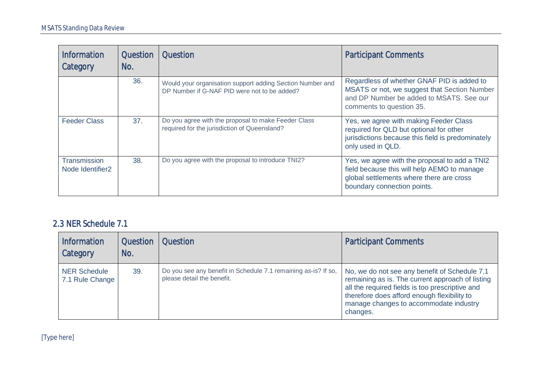| <b>Information</b><br>Category               | <b>Question</b><br>No. | <b>Question</b>                                                                                           | <b>Participant Comments</b>                                                                                                                                             |
|----------------------------------------------|------------------------|-----------------------------------------------------------------------------------------------------------|-------------------------------------------------------------------------------------------------------------------------------------------------------------------------|
|                                              | 36.                    | Would your organisation support adding Section Number and<br>DP Number if G-NAF PID were not to be added? | Regardless of whether GNAF PID is added to<br>MSATS or not, we suggest that Section Number<br>and DP Number be added to MSATS. See our<br>comments to question 35.      |
| <b>Feeder Class</b>                          | 37.                    | Do you agree with the proposal to make Feeder Class<br>required for the jurisdiction of Queensland?       | Yes, we agree with making Feeder Class<br>required for QLD but optional for other<br>jurisdictions because this field is predominately<br>only used in QLD.             |
| Transmission<br>Node Identifier <sub>2</sub> | 38.                    | Do you agree with the proposal to introduce TNI2?                                                         | Yes, we agree with the proposal to add a TNI2<br>field because this will help AEMO to manage<br>global settlements where there are cross<br>boundary connection points. |

#### 2.3 NER Schedule 7.1

| Information<br>Category                | <b>Question</b><br>No. | <b>Question</b>                                                                              | <b>Participant Comments</b>                                                                                                                                                                                                                               |
|----------------------------------------|------------------------|----------------------------------------------------------------------------------------------|-----------------------------------------------------------------------------------------------------------------------------------------------------------------------------------------------------------------------------------------------------------|
| <b>NER Schedule</b><br>7.1 Rule Change | 39.                    | Do you see any benefit in Schedule 7.1 remaining as-is? If so,<br>please detail the benefit. | No, we do not see any benefit of Schedule 7.1<br>remaining as is. The current approach of listing<br>all the required fields is too prescriptive and<br>therefore does afford enough flexibility to<br>manage changes to accommodate industry<br>changes. |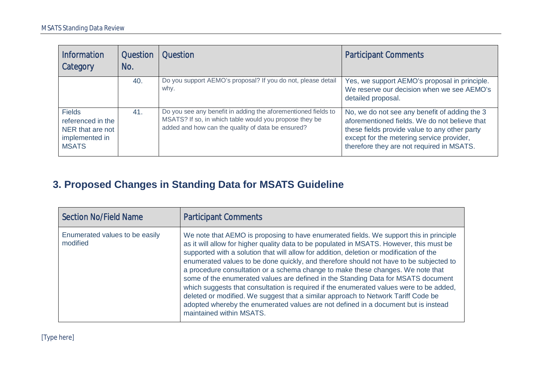| <b>Information</b><br>Category                                                           | <b>Question</b><br>No. | <b>Question</b>                                                                                                                                                              | <b>Participant Comments</b>                                                                                                                                                                                                               |
|------------------------------------------------------------------------------------------|------------------------|------------------------------------------------------------------------------------------------------------------------------------------------------------------------------|-------------------------------------------------------------------------------------------------------------------------------------------------------------------------------------------------------------------------------------------|
|                                                                                          | 40.                    | Do you support AEMO's proposal? If you do not, please detail<br>why.                                                                                                         | Yes, we support AEMO's proposal in principle.<br>We reserve our decision when we see AEMO's<br>detailed proposal.                                                                                                                         |
| <b>Fields</b><br>referenced in the<br>NER that are not<br>implemented in<br><b>MSATS</b> | 41.                    | Do you see any benefit in adding the aforementioned fields to<br>MSATS? If so, in which table would you propose they be<br>added and how can the quality of data be ensured? | No, we do not see any benefit of adding the 3<br>aforementioned fields. We do not believe that<br>these fields provide value to any other party<br>except for the metering service provider,<br>therefore they are not required in MSATS. |

## **3. Proposed Changes in Standing Data for MSATS Guideline**

<span id="page-17-0"></span>

| <b>Section No/Field Name</b>               | <b>Participant Comments</b>                                                                                                                                                                                                                                                                                                                                                                                                                                                                                                                                                                                                                                                                                                                                                                                                                       |
|--------------------------------------------|---------------------------------------------------------------------------------------------------------------------------------------------------------------------------------------------------------------------------------------------------------------------------------------------------------------------------------------------------------------------------------------------------------------------------------------------------------------------------------------------------------------------------------------------------------------------------------------------------------------------------------------------------------------------------------------------------------------------------------------------------------------------------------------------------------------------------------------------------|
| Enumerated values to be easily<br>modified | We note that AEMO is proposing to have enumerated fields. We support this in principle<br>as it will allow for higher quality data to be populated in MSATS. However, this must be<br>supported with a solution that will allow for addition, deletion or modification of the<br>enumerated values to be done quickly, and therefore should not have to be subjected to<br>a procedure consultation or a schema change to make these changes. We note that<br>some of the enumerated values are defined in the Standing Data for MSATS document<br>which suggests that consultation is required if the enumerated values were to be added,<br>deleted or modified. We suggest that a similar approach to Network Tariff Code be<br>adopted whereby the enumerated values are not defined in a document but is instead<br>maintained within MSATS. |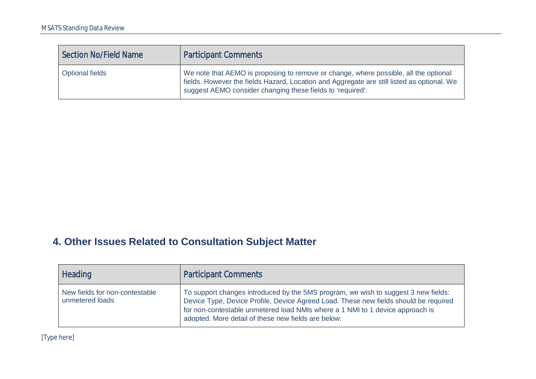| Section No/Field Name  | <b>Participant Comments</b>                                                                                                                                                                                                                      |
|------------------------|--------------------------------------------------------------------------------------------------------------------------------------------------------------------------------------------------------------------------------------------------|
| <b>Optional fields</b> | We note that AEMO is proposing to remove or change, where possible, all the optional<br>fields. However the fields Hazard, Location and Aggregate are still listed as optional. We<br>suggest AEMO consider changing these fields to 'required'. |

## **4. Other Issues Related to Consultation Subject Matter**

<span id="page-18-0"></span>

| <b>Heading</b>                                    | <b>Participant Comments</b>                                                                                                                                                                                                                                                                                        |
|---------------------------------------------------|--------------------------------------------------------------------------------------------------------------------------------------------------------------------------------------------------------------------------------------------------------------------------------------------------------------------|
| New fields for non-contestable<br>unmetered loads | To support changes introduced by the 5MS program, we wish to suggest 3 new fields:<br>Device Type, Device Profile, Device Agreed Load. These new fields should be required<br>for non-contestable unmetered load NMIs where a 1 NMI to 1 device approach is<br>adopted. More detail of these new fields are below: |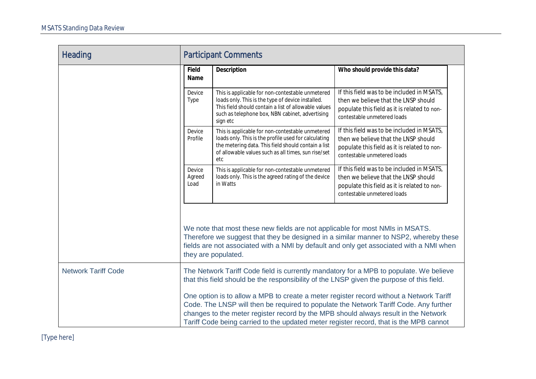| <b>Heading</b>             | <b>Participant Comments</b> |                                                                                                                                                                                                                                                                                                                                                                   |                                                                                                                                                                                  |
|----------------------------|-----------------------------|-------------------------------------------------------------------------------------------------------------------------------------------------------------------------------------------------------------------------------------------------------------------------------------------------------------------------------------------------------------------|----------------------------------------------------------------------------------------------------------------------------------------------------------------------------------|
|                            | Field<br>Name               | Description                                                                                                                                                                                                                                                                                                                                                       | Who should provide this data?                                                                                                                                                    |
|                            | Device<br>Type              | This is applicable for non-contestable unmetered<br>loads only. This is the type of device installed.<br>This field should contain a list of allowable values<br>such as telephone box, NBN cabinet, advertising<br>sign etc                                                                                                                                      | If this field was to be included in MSATS,<br>then we believe that the LNSP should<br>populate this field as it is related to non-<br>contestable unmetered loads                |
|                            | Device<br>Profile           | This is applicable for non-contestable unmetered<br>loads only. This is the profile used for calculating<br>the metering data. This field should contain a list<br>of allowable values such as all times, sun rise/set<br>etc                                                                                                                                     | If this field was to be included in MSATS,<br>then we believe that the LNSP should<br>populate this field as it is related to non-<br>contestable unmetered loads                |
|                            | Device<br>Agreed<br>Load    | This is applicable for non-contestable unmetered<br>loads only. This is the agreed rating of the device<br>in Watts                                                                                                                                                                                                                                               | If this field was to be included in MSATS,<br>then we believe that the LNSP should<br>populate this field as it is related to non-<br>contestable unmetered loads                |
|                            |                             | We note that most these new fields are not applicable for most NMIs in MSATS.<br>they are populated.                                                                                                                                                                                                                                                              | Therefore we suggest that they be designed in a similar manner to NSP2, whereby these<br>fields are not associated with a NMI by default and only get associated with a NMI when |
| <b>Network Tariff Code</b> |                             | The Network Tariff Code field is currently mandatory for a MPB to populate. We believe<br>that this field should be the responsibility of the LNSP given the purpose of this field.                                                                                                                                                                               |                                                                                                                                                                                  |
|                            |                             | One option is to allow a MPB to create a meter register record without a Network Tariff<br>Code. The LNSP will then be required to populate the Network Tariff Code. Any further<br>changes to the meter register record by the MPB should always result in the Network<br>Tariff Code being carried to the updated meter register record, that is the MPB cannot |                                                                                                                                                                                  |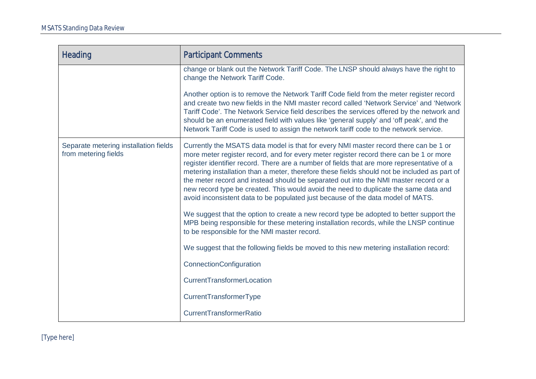| <b>Heading</b>                                                | <b>Participant Comments</b>                                                                                                                                                                                                                                                                                                                                                                                                                                                                                                                                                                                                                                                                                                                                                                                                                                                                                                                                                                                                                                        |
|---------------------------------------------------------------|--------------------------------------------------------------------------------------------------------------------------------------------------------------------------------------------------------------------------------------------------------------------------------------------------------------------------------------------------------------------------------------------------------------------------------------------------------------------------------------------------------------------------------------------------------------------------------------------------------------------------------------------------------------------------------------------------------------------------------------------------------------------------------------------------------------------------------------------------------------------------------------------------------------------------------------------------------------------------------------------------------------------------------------------------------------------|
|                                                               | change or blank out the Network Tariff Code. The LNSP should always have the right to<br>change the Network Tariff Code.                                                                                                                                                                                                                                                                                                                                                                                                                                                                                                                                                                                                                                                                                                                                                                                                                                                                                                                                           |
|                                                               | Another option is to remove the Network Tariff Code field from the meter register record<br>and create two new fields in the NMI master record called 'Network Service' and 'Network<br>Tariff Code'. The Network Service field describes the services offered by the network and<br>should be an enumerated field with values like 'general supply' and 'off peak', and the<br>Network Tariff Code is used to assign the network tariff code to the network service.                                                                                                                                                                                                                                                                                                                                                                                                                                                                                                                                                                                              |
| Separate metering installation fields<br>from metering fields | Currently the MSATS data model is that for every NMI master record there can be 1 or<br>more meter register record, and for every meter register record there can be 1 or more<br>register identifier record. There are a number of fields that are more representative of a<br>metering installation than a meter, therefore these fields should not be included as part of<br>the meter record and instead should be separated out into the NMI master record or a<br>new record type be created. This would avoid the need to duplicate the same data and<br>avoid inconsistent data to be populated just because of the data model of MATS.<br>We suggest that the option to create a new record type be adopted to better support the<br>MPB being responsible for these metering installation records, while the LNSP continue<br>to be responsible for the NMI master record.<br>We suggest that the following fields be moved to this new metering installation record:<br>ConnectionConfiguration<br>CurrentTransformerLocation<br>CurrentTransformerType |
|                                                               | CurrentTransformerRatio                                                                                                                                                                                                                                                                                                                                                                                                                                                                                                                                                                                                                                                                                                                                                                                                                                                                                                                                                                                                                                            |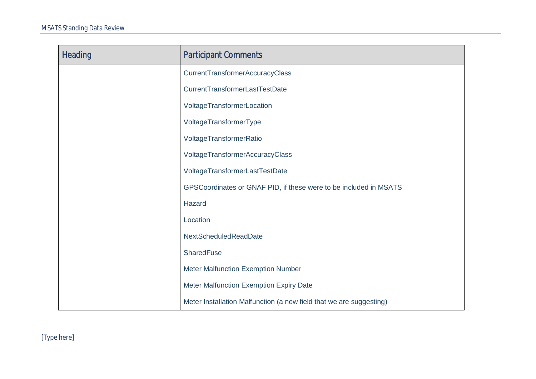| <b>Heading</b> | <b>Participant Comments</b>                                         |
|----------------|---------------------------------------------------------------------|
|                | <b>CurrentTransformerAccuracyClass</b>                              |
|                | CurrentTransformerLastTestDate                                      |
|                | VoltageTransformerLocation                                          |
|                | VoltageTransformerType                                              |
|                | VoltageTransformerRatio                                             |
|                | VoltageTransformerAccuracyClass                                     |
|                | VoltageTransformerLastTestDate                                      |
|                | GPSCoordinates or GNAF PID, if these were to be included in MSATS   |
|                | Hazard                                                              |
|                | Location                                                            |
|                | NextScheduledReadDate                                               |
|                | <b>SharedFuse</b>                                                   |
|                | <b>Meter Malfunction Exemption Number</b>                           |
|                | Meter Malfunction Exemption Expiry Date                             |
|                | Meter Installation Malfunction (a new field that we are suggesting) |